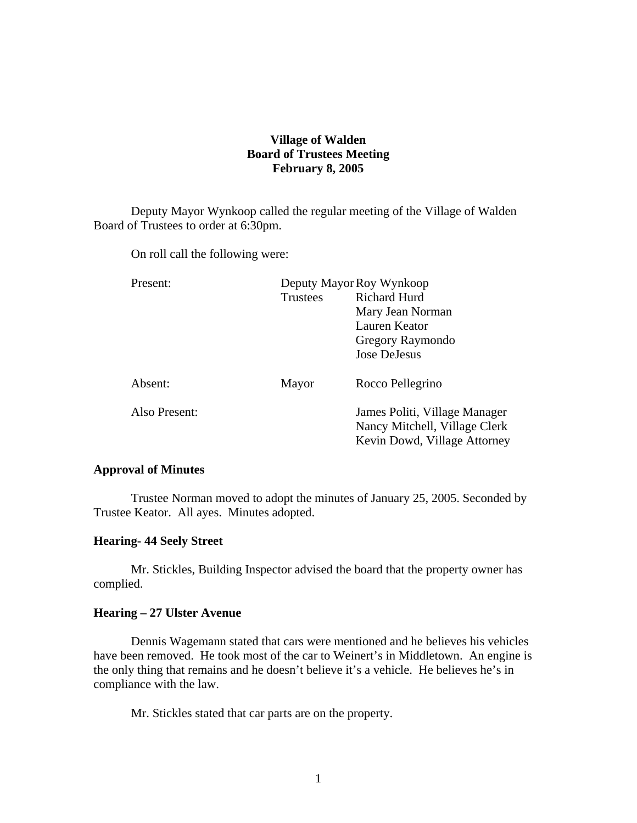# **Village of Walden Board of Trustees Meeting February 8, 2005**

Deputy Mayor Wynkoop called the regular meeting of the Village of Walden Board of Trustees to order at 6:30pm.

On roll call the following were:

| Present:      |                 | Deputy Mayor Roy Wynkoop      |  |
|---------------|-----------------|-------------------------------|--|
|               | <b>Trustees</b> | <b>Richard Hurd</b>           |  |
|               |                 | Mary Jean Norman              |  |
|               |                 | Lauren Keator                 |  |
|               |                 | Gregory Raymondo              |  |
|               |                 | <b>Jose DeJesus</b>           |  |
| Absent:       | Mayor           | Rocco Pellegrino              |  |
| Also Present: |                 | James Politi, Village Manager |  |
|               |                 | Nancy Mitchell, Village Clerk |  |
|               |                 | Kevin Dowd, Village Attorney  |  |

### **Approval of Minutes**

Trustee Norman moved to adopt the minutes of January 25, 2005. Seconded by Trustee Keator. All ayes. Minutes adopted.

### **Hearing- 44 Seely Street**

Mr. Stickles, Building Inspector advised the board that the property owner has complied.

### **Hearing – 27 Ulster Avenue**

Dennis Wagemann stated that cars were mentioned and he believes his vehicles have been removed. He took most of the car to Weinert's in Middletown. An engine is the only thing that remains and he doesn't believe it's a vehicle. He believes he's in compliance with the law.

Mr. Stickles stated that car parts are on the property.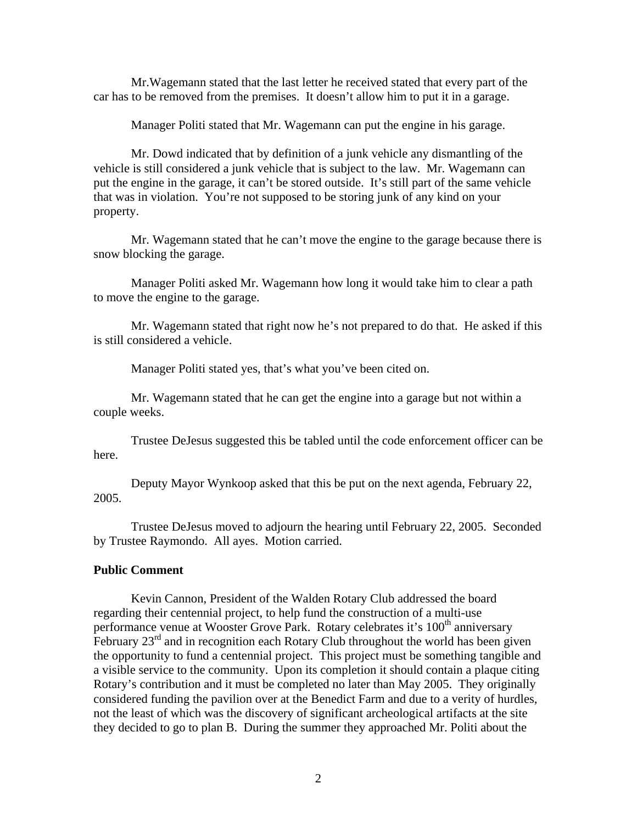Mr.Wagemann stated that the last letter he received stated that every part of the car has to be removed from the premises. It doesn't allow him to put it in a garage.

Manager Politi stated that Mr. Wagemann can put the engine in his garage.

 Mr. Dowd indicated that by definition of a junk vehicle any dismantling of the vehicle is still considered a junk vehicle that is subject to the law. Mr. Wagemann can put the engine in the garage, it can't be stored outside. It's still part of the same vehicle that was in violation. You're not supposed to be storing junk of any kind on your property.

 Mr. Wagemann stated that he can't move the engine to the garage because there is snow blocking the garage.

 Manager Politi asked Mr. Wagemann how long it would take him to clear a path to move the engine to the garage.

 Mr. Wagemann stated that right now he's not prepared to do that. He asked if this is still considered a vehicle.

Manager Politi stated yes, that's what you've been cited on.

 Mr. Wagemann stated that he can get the engine into a garage but not within a couple weeks.

 Trustee DeJesus suggested this be tabled until the code enforcement officer can be here.

 Deputy Mayor Wynkoop asked that this be put on the next agenda, February 22, 2005.

 Trustee DeJesus moved to adjourn the hearing until February 22, 2005. Seconded by Trustee Raymondo. All ayes. Motion carried.

### **Public Comment**

Kevin Cannon, President of the Walden Rotary Club addressed the board regarding their centennial project, to help fund the construction of a multi-use performance venue at Wooster Grove Park. Rotary celebrates it's  $100<sup>th</sup>$  anniversary February  $23<sup>rd</sup>$  and in recognition each Rotary Club throughout the world has been given the opportunity to fund a centennial project. This project must be something tangible and a visible service to the community. Upon its completion it should contain a plaque citing Rotary's contribution and it must be completed no later than May 2005. They originally considered funding the pavilion over at the Benedict Farm and due to a verity of hurdles, not the least of which was the discovery of significant archeological artifacts at the site they decided to go to plan B. During the summer they approached Mr. Politi about the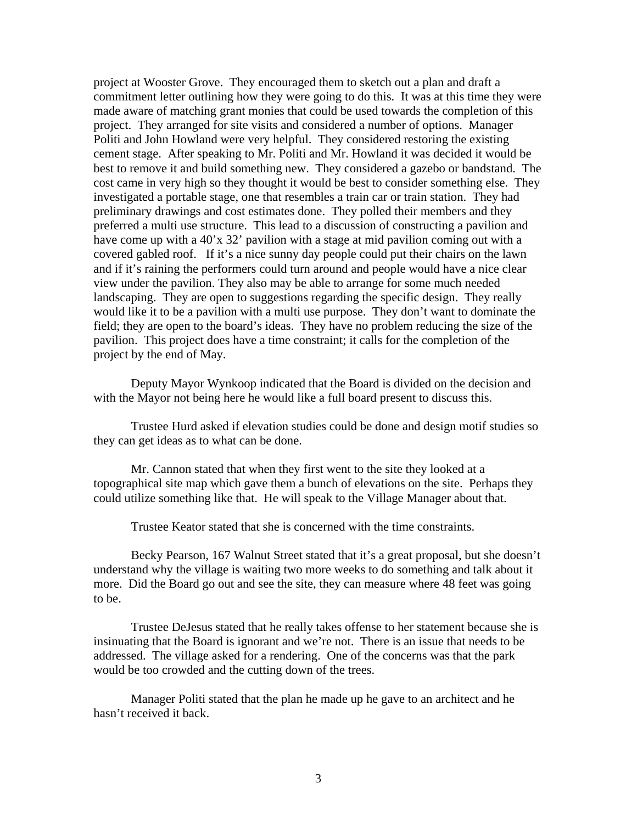project at Wooster Grove. They encouraged them to sketch out a plan and draft a commitment letter outlining how they were going to do this. It was at this time they were made aware of matching grant monies that could be used towards the completion of this project. They arranged for site visits and considered a number of options. Manager Politi and John Howland were very helpful. They considered restoring the existing cement stage. After speaking to Mr. Politi and Mr. Howland it was decided it would be best to remove it and build something new. They considered a gazebo or bandstand. The cost came in very high so they thought it would be best to consider something else. They investigated a portable stage, one that resembles a train car or train station. They had preliminary drawings and cost estimates done. They polled their members and they preferred a multi use structure. This lead to a discussion of constructing a pavilion and have come up with a 40'x 32' pavilion with a stage at mid pavilion coming out with a covered gabled roof. If it's a nice sunny day people could put their chairs on the lawn and if it's raining the performers could turn around and people would have a nice clear view under the pavilion. They also may be able to arrange for some much needed landscaping. They are open to suggestions regarding the specific design. They really would like it to be a pavilion with a multi use purpose. They don't want to dominate the field; they are open to the board's ideas. They have no problem reducing the size of the pavilion. This project does have a time constraint; it calls for the completion of the project by the end of May.

 Deputy Mayor Wynkoop indicated that the Board is divided on the decision and with the Mayor not being here he would like a full board present to discuss this.

 Trustee Hurd asked if elevation studies could be done and design motif studies so they can get ideas as to what can be done.

 Mr. Cannon stated that when they first went to the site they looked at a topographical site map which gave them a bunch of elevations on the site. Perhaps they could utilize something like that. He will speak to the Village Manager about that.

Trustee Keator stated that she is concerned with the time constraints.

 Becky Pearson, 167 Walnut Street stated that it's a great proposal, but she doesn't understand why the village is waiting two more weeks to do something and talk about it more. Did the Board go out and see the site, they can measure where 48 feet was going to be.

 Trustee DeJesus stated that he really takes offense to her statement because she is insinuating that the Board is ignorant and we're not. There is an issue that needs to be addressed. The village asked for a rendering. One of the concerns was that the park would be too crowded and the cutting down of the trees.

 Manager Politi stated that the plan he made up he gave to an architect and he hasn't received it back.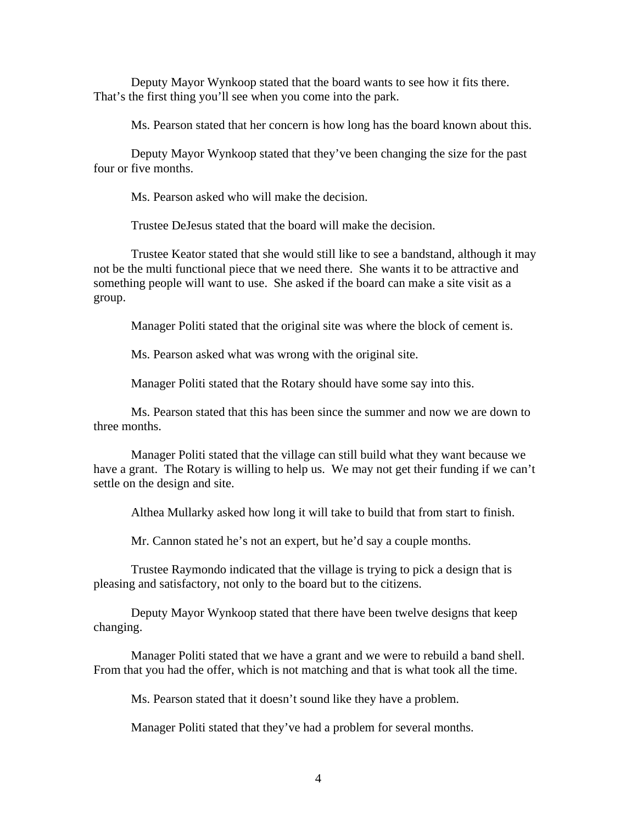Deputy Mayor Wynkoop stated that the board wants to see how it fits there. That's the first thing you'll see when you come into the park.

Ms. Pearson stated that her concern is how long has the board known about this.

 Deputy Mayor Wynkoop stated that they've been changing the size for the past four or five months.

Ms. Pearson asked who will make the decision.

Trustee DeJesus stated that the board will make the decision.

 Trustee Keator stated that she would still like to see a bandstand, although it may not be the multi functional piece that we need there. She wants it to be attractive and something people will want to use. She asked if the board can make a site visit as a group.

Manager Politi stated that the original site was where the block of cement is.

Ms. Pearson asked what was wrong with the original site.

Manager Politi stated that the Rotary should have some say into this.

 Ms. Pearson stated that this has been since the summer and now we are down to three months.

 Manager Politi stated that the village can still build what they want because we have a grant. The Rotary is willing to help us. We may not get their funding if we can't settle on the design and site.

Althea Mullarky asked how long it will take to build that from start to finish.

Mr. Cannon stated he's not an expert, but he'd say a couple months.

 Trustee Raymondo indicated that the village is trying to pick a design that is pleasing and satisfactory, not only to the board but to the citizens.

 Deputy Mayor Wynkoop stated that there have been twelve designs that keep changing.

 Manager Politi stated that we have a grant and we were to rebuild a band shell. From that you had the offer, which is not matching and that is what took all the time.

Ms. Pearson stated that it doesn't sound like they have a problem.

Manager Politi stated that they've had a problem for several months.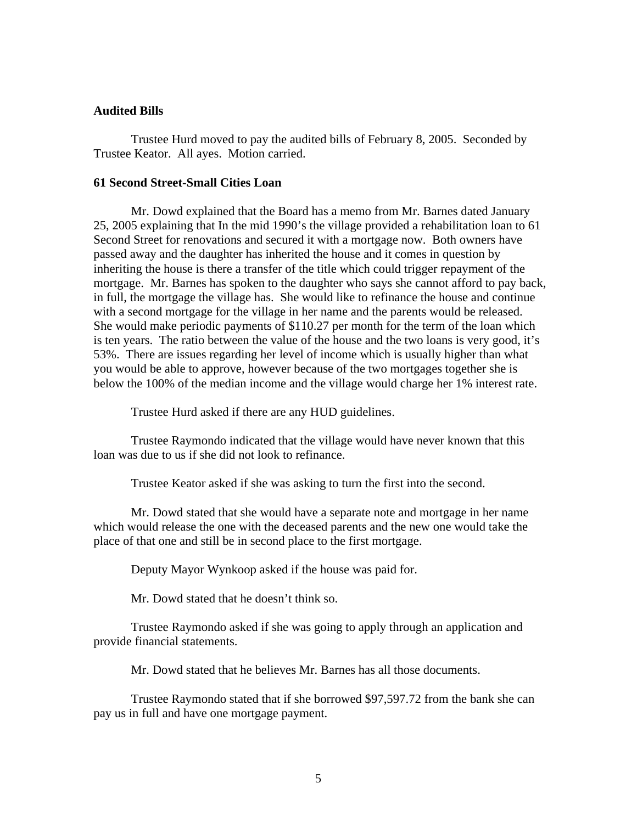### **Audited Bills**

Trustee Hurd moved to pay the audited bills of February 8, 2005. Seconded by Trustee Keator. All ayes. Motion carried.

### **61 Second Street-Small Cities Loan**

Mr. Dowd explained that the Board has a memo from Mr. Barnes dated January 25, 2005 explaining that In the mid 1990's the village provided a rehabilitation loan to 61 Second Street for renovations and secured it with a mortgage now. Both owners have passed away and the daughter has inherited the house and it comes in question by inheriting the house is there a transfer of the title which could trigger repayment of the mortgage. Mr. Barnes has spoken to the daughter who says she cannot afford to pay back, in full, the mortgage the village has. She would like to refinance the house and continue with a second mortgage for the village in her name and the parents would be released. She would make periodic payments of \$110.27 per month for the term of the loan which is ten years. The ratio between the value of the house and the two loans is very good, it's 53%. There are issues regarding her level of income which is usually higher than what you would be able to approve, however because of the two mortgages together she is below the 100% of the median income and the village would charge her 1% interest rate.

Trustee Hurd asked if there are any HUD guidelines.

 Trustee Raymondo indicated that the village would have never known that this loan was due to us if she did not look to refinance.

Trustee Keator asked if she was asking to turn the first into the second.

 Mr. Dowd stated that she would have a separate note and mortgage in her name which would release the one with the deceased parents and the new one would take the place of that one and still be in second place to the first mortgage.

Deputy Mayor Wynkoop asked if the house was paid for.

Mr. Dowd stated that he doesn't think so.

 Trustee Raymondo asked if she was going to apply through an application and provide financial statements.

Mr. Dowd stated that he believes Mr. Barnes has all those documents.

 Trustee Raymondo stated that if she borrowed \$97,597.72 from the bank she can pay us in full and have one mortgage payment.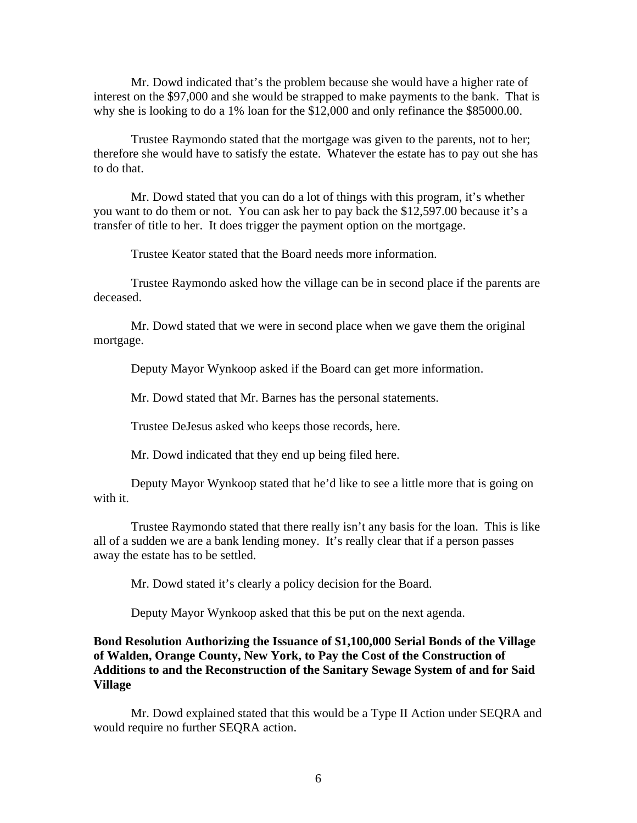Mr. Dowd indicated that's the problem because she would have a higher rate of interest on the \$97,000 and she would be strapped to make payments to the bank. That is why she is looking to do a 1% loan for the \$12,000 and only refinance the \$85000.00.

 Trustee Raymondo stated that the mortgage was given to the parents, not to her; therefore she would have to satisfy the estate. Whatever the estate has to pay out she has to do that.

 Mr. Dowd stated that you can do a lot of things with this program, it's whether you want to do them or not. You can ask her to pay back the \$12,597.00 because it's a transfer of title to her. It does trigger the payment option on the mortgage.

Trustee Keator stated that the Board needs more information.

 Trustee Raymondo asked how the village can be in second place if the parents are deceased.

 Mr. Dowd stated that we were in second place when we gave them the original mortgage.

Deputy Mayor Wynkoop asked if the Board can get more information.

Mr. Dowd stated that Mr. Barnes has the personal statements.

Trustee DeJesus asked who keeps those records, here.

Mr. Dowd indicated that they end up being filed here.

 Deputy Mayor Wynkoop stated that he'd like to see a little more that is going on with it.

 Trustee Raymondo stated that there really isn't any basis for the loan. This is like all of a sudden we are a bank lending money. It's really clear that if a person passes away the estate has to be settled.

Mr. Dowd stated it's clearly a policy decision for the Board.

Deputy Mayor Wynkoop asked that this be put on the next agenda.

# **Bond Resolution Authorizing the Issuance of \$1,100,000 Serial Bonds of the Village of Walden, Orange County, New York, to Pay the Cost of the Construction of Additions to and the Reconstruction of the Sanitary Sewage System of and for Said Village**

Mr. Dowd explained stated that this would be a Type II Action under SEQRA and would require no further SEQRA action.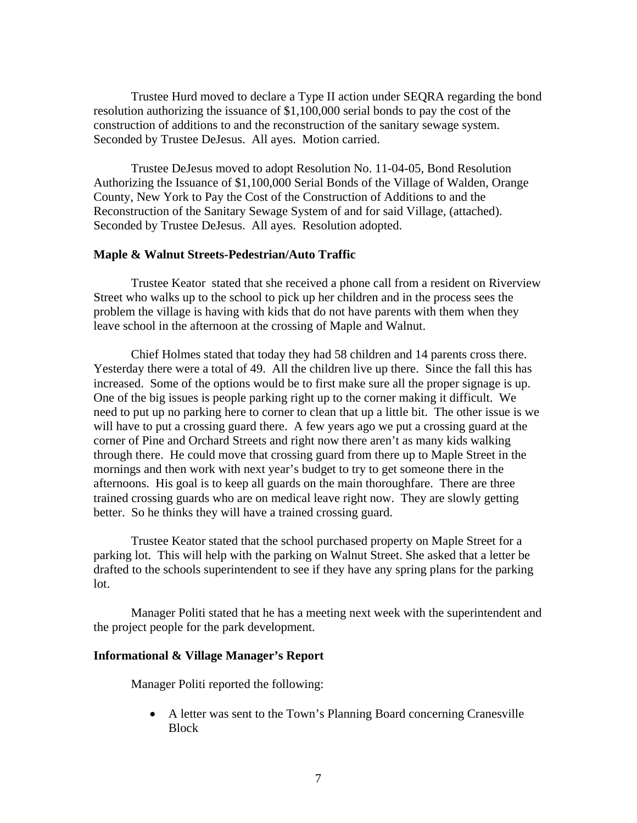Trustee Hurd moved to declare a Type II action under SEQRA regarding the bond resolution authorizing the issuance of \$1,100,000 serial bonds to pay the cost of the construction of additions to and the reconstruction of the sanitary sewage system. Seconded by Trustee DeJesus. All ayes. Motion carried.

 Trustee DeJesus moved to adopt Resolution No. 11-04-05, Bond Resolution Authorizing the Issuance of \$1,100,000 Serial Bonds of the Village of Walden, Orange County, New York to Pay the Cost of the Construction of Additions to and the Reconstruction of the Sanitary Sewage System of and for said Village, (attached). Seconded by Trustee DeJesus. All ayes. Resolution adopted.

### **Maple & Walnut Streets-Pedestrian/Auto Traffic**

Trustee Keator stated that she received a phone call from a resident on Riverview Street who walks up to the school to pick up her children and in the process sees the problem the village is having with kids that do not have parents with them when they leave school in the afternoon at the crossing of Maple and Walnut.

Chief Holmes stated that today they had 58 children and 14 parents cross there. Yesterday there were a total of 49. All the children live up there. Since the fall this has increased. Some of the options would be to first make sure all the proper signage is up. One of the big issues is people parking right up to the corner making it difficult. We need to put up no parking here to corner to clean that up a little bit. The other issue is we will have to put a crossing guard there. A few years ago we put a crossing guard at the corner of Pine and Orchard Streets and right now there aren't as many kids walking through there. He could move that crossing guard from there up to Maple Street in the mornings and then work with next year's budget to try to get someone there in the afternoons. His goal is to keep all guards on the main thoroughfare. There are three trained crossing guards who are on medical leave right now. They are slowly getting better. So he thinks they will have a trained crossing guard.

 Trustee Keator stated that the school purchased property on Maple Street for a parking lot. This will help with the parking on Walnut Street. She asked that a letter be drafted to the schools superintendent to see if they have any spring plans for the parking lot.

 Manager Politi stated that he has a meeting next week with the superintendent and the project people for the park development.

#### **Informational & Village Manager's Report**

Manager Politi reported the following:

 A letter was sent to the Town's Planning Board concerning Cranesville Block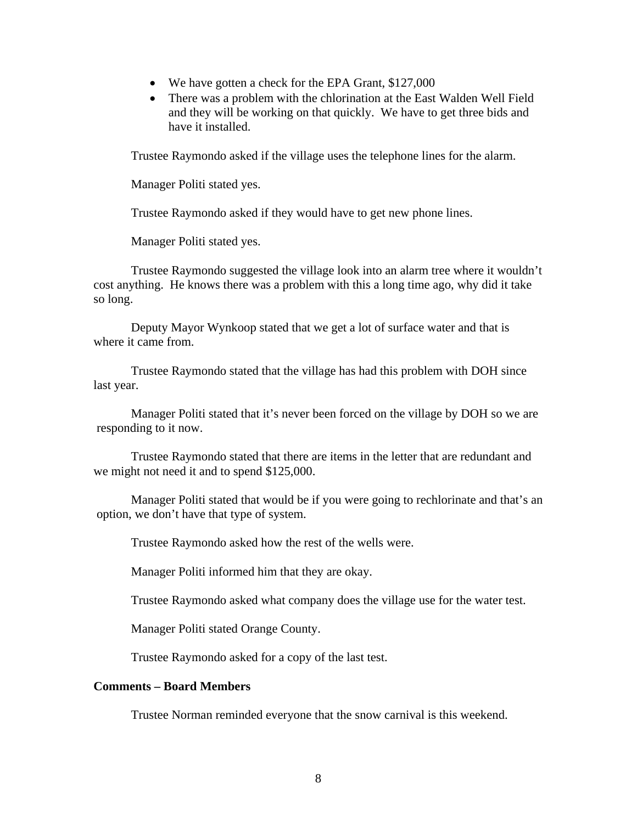- We have gotten a check for the EPA Grant, \$127,000
- There was a problem with the chlorination at the East Walden Well Field and they will be working on that quickly. We have to get three bids and have it installed.

Trustee Raymondo asked if the village uses the telephone lines for the alarm.

Manager Politi stated yes.

Trustee Raymondo asked if they would have to get new phone lines.

Manager Politi stated yes.

Trustee Raymondo suggested the village look into an alarm tree where it wouldn't cost anything. He knows there was a problem with this a long time ago, why did it take so long.

Deputy Mayor Wynkoop stated that we get a lot of surface water and that is where it came from.

Trustee Raymondo stated that the village has had this problem with DOH since last year.

Manager Politi stated that it's never been forced on the village by DOH so we are responding to it now.

 Trustee Raymondo stated that there are items in the letter that are redundant and we might not need it and to spend \$125,000.

Manager Politi stated that would be if you were going to rechlorinate and that's an option, we don't have that type of system.

Trustee Raymondo asked how the rest of the wells were.

Manager Politi informed him that they are okay.

Trustee Raymondo asked what company does the village use for the water test.

Manager Politi stated Orange County.

Trustee Raymondo asked for a copy of the last test.

## **Comments – Board Members**

Trustee Norman reminded everyone that the snow carnival is this weekend.